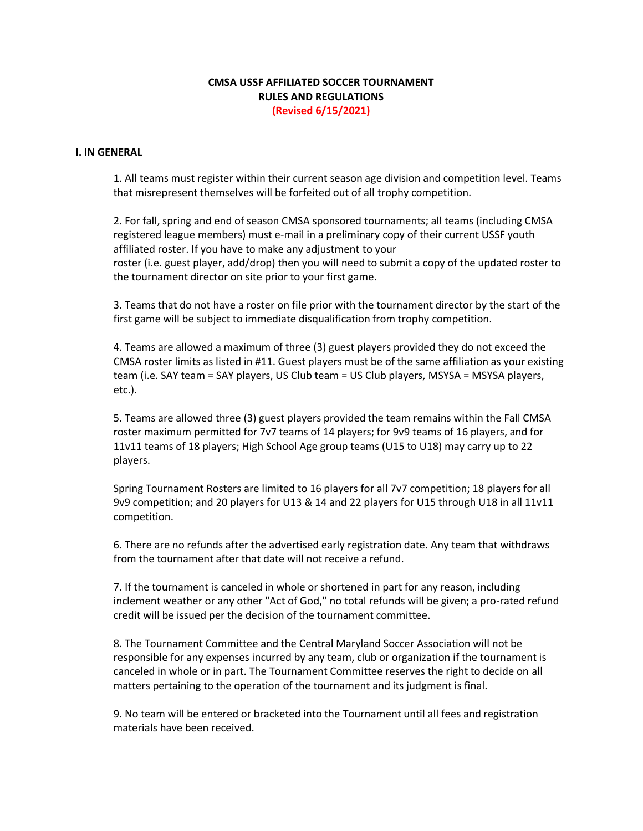# **CMSA USSF AFFILIATED SOCCER TOURNAMENT RULES AND REGULATIONS (Revised 6/15/2021)**

#### **I. IN GENERAL**

1. All teams must register within their current season age division and competition level. Teams that misrepresent themselves will be forfeited out of all trophy competition.

2. For fall, spring and end of season CMSA sponsored tournaments; all teams (including CMSA registered league members) must e-mail in a preliminary copy of their current USSF youth affiliated roster. If you have to make any adjustment to your roster (i.e. guest player, add/drop) then you will need to submit a copy of the updated roster to the tournament director on site prior to your first game.

3. Teams that do not have a roster on file prior with the tournament director by the start of the first game will be subject to immediate disqualification from trophy competition.

4. Teams are allowed a maximum of three (3) guest players provided they do not exceed the CMSA roster limits as listed in #11. Guest players must be of the same affiliation as your existing team (i.e. SAY team = SAY players, US Club team = US Club players, MSYSA = MSYSA players, etc.).

5. Teams are allowed three (3) guest players provided the team remains within the Fall CMSA roster maximum permitted for 7v7 teams of 14 players; for 9v9 teams of 16 players, and for 11v11 teams of 18 players; High School Age group teams (U15 to U18) may carry up to 22 players.

Spring Tournament Rosters are limited to 16 players for all 7v7 competition; 18 players for all 9v9 competition; and 20 players for U13 & 14 and 22 players for U15 through U18 in all 11v11 competition.

6. There are no refunds after the advertised early registration date. Any team that withdraws from the tournament after that date will not receive a refund.

7. If the tournament is canceled in whole or shortened in part for any reason, including inclement weather or any other "Act of God," no total refunds will be given; a pro-rated refund credit will be issued per the decision of the tournament committee.

8. The Tournament Committee and the Central Maryland Soccer Association will not be responsible for any expenses incurred by any team, club or organization if the tournament is canceled in whole or in part. The Tournament Committee reserves the right to decide on all matters pertaining to the operation of the tournament and its judgment is final.

9. No team will be entered or bracketed into the Tournament until all fees and registration materials have been received.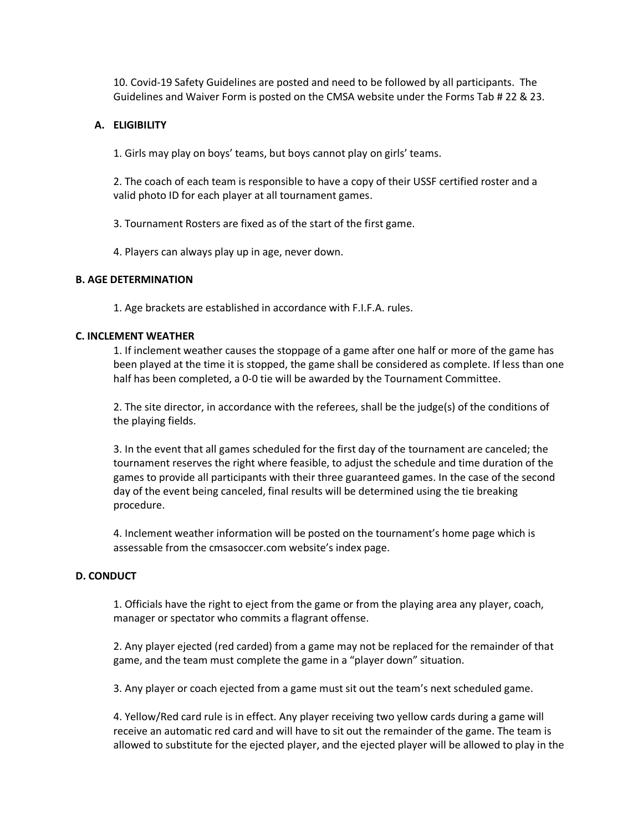10. Covid-19 Safety Guidelines are posted and need to be followed by all participants. The Guidelines and Waiver Form is posted on the CMSA website under the Forms Tab # 22 & 23.

## **A. ELIGIBILITY**

1. Girls may play on boys' teams, but boys cannot play on girls' teams.

2. The coach of each team is responsible to have a copy of their USSF certified roster and a valid photo ID for each player at all tournament games.

3. Tournament Rosters are fixed as of the start of the first game.

4. Players can always play up in age, never down.

## **B. AGE DETERMINATION**

1. Age brackets are established in accordance with F.I.F.A. rules.

## **C. INCLEMENT WEATHER**

1. If inclement weather causes the stoppage of a game after one half or more of the game has been played at the time it is stopped, the game shall be considered as complete. If less than one half has been completed, a 0-0 tie will be awarded by the Tournament Committee.

2. The site director, in accordance with the referees, shall be the judge(s) of the conditions of the playing fields.

3. In the event that all games scheduled for the first day of the tournament are canceled; the tournament reserves the right where feasible, to adjust the schedule and time duration of the games to provide all participants with their three guaranteed games. In the case of the second day of the event being canceled, final results will be determined using the tie breaking procedure.

4. Inclement weather information will be posted on the tournament's home page which is assessable from the cmsasoccer.com website's index page.

### **D. CONDUCT**

1. Officials have the right to eject from the game or from the playing area any player, coach, manager or spectator who commits a flagrant offense.

2. Any player ejected (red carded) from a game may not be replaced for the remainder of that game, and the team must complete the game in a "player down" situation.

3. Any player or coach ejected from a game must sit out the team's next scheduled game.

4. Yellow/Red card rule is in effect. Any player receiving two yellow cards during a game will receive an automatic red card and will have to sit out the remainder of the game. The team is allowed to substitute for the ejected player, and the ejected player will be allowed to play in the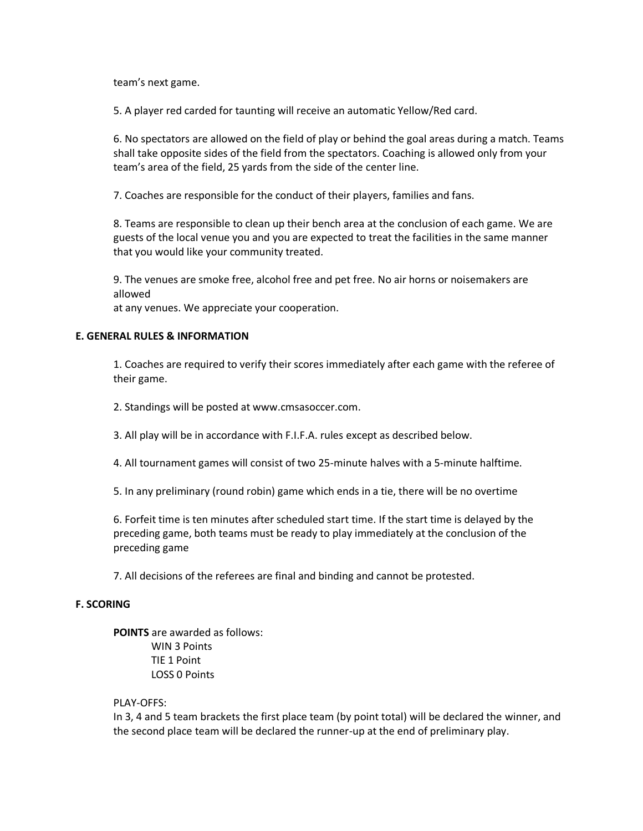team's next game.

5. A player red carded for taunting will receive an automatic Yellow/Red card.

6. No spectators are allowed on the field of play or behind the goal areas during a match. Teams shall take opposite sides of the field from the spectators. Coaching is allowed only from your team's area of the field, 25 yards from the side of the center line.

7. Coaches are responsible for the conduct of their players, families and fans.

8. Teams are responsible to clean up their bench area at the conclusion of each game. We are guests of the local venue you and you are expected to treat the facilities in the same manner that you would like your community treated.

9. The venues are smoke free, alcohol free and pet free. No air horns or noisemakers are allowed

at any venues. We appreciate your cooperation.

# **E. GENERAL RULES & INFORMATION**

1. Coaches are required to verify their scores immediately after each game with the referee of their game.

2. Standings will be posted at www.cmsasoccer.com.

3. All play will be in accordance with F.I.F.A. rules except as described below.

4. All tournament games will consist of two 25-minute halves with a 5-minute halftime.

5. In any preliminary (round robin) game which ends in a tie, there will be no overtime

6. Forfeit time is ten minutes after scheduled start time. If the start time is delayed by the preceding game, both teams must be ready to play immediately at the conclusion of the preceding game

7. All decisions of the referees are final and binding and cannot be protested.

### **F. SCORING**

**POINTS** are awarded as follows: WIN 3 Points TIE 1 Point LOSS 0 Points

### PLAY-OFFS:

In 3, 4 and 5 team brackets the first place team (by point total) will be declared the winner, and the second place team will be declared the runner-up at the end of preliminary play.